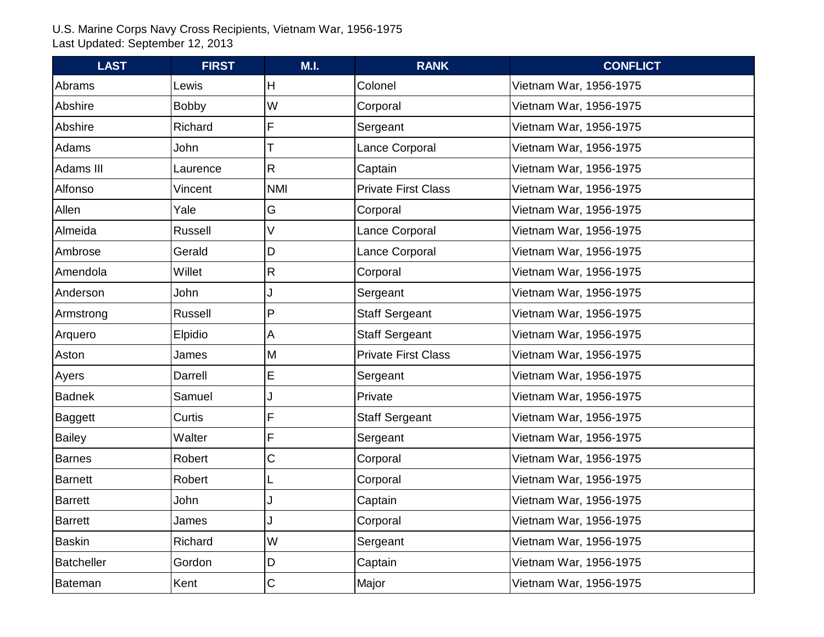| <b>LAST</b>       | <b>FIRST</b> | M.I.         | <b>RANK</b>                | <b>CONFLICT</b>        |
|-------------------|--------------|--------------|----------------------------|------------------------|
| Abrams            | Lewis        | H            | Colonel                    | Vietnam War, 1956-1975 |
| Abshire           | <b>Bobby</b> | W            | Corporal                   | Vietnam War, 1956-1975 |
| Abshire           | Richard      | F            | Sergeant                   | Vietnam War, 1956-1975 |
| Adams             | John         |              | Lance Corporal             | Vietnam War, 1956-1975 |
| Adams III         | Laurence     | $\mathsf{R}$ | Captain                    | Vietnam War, 1956-1975 |
| Alfonso           | Vincent      | <b>NMI</b>   | <b>Private First Class</b> | Vietnam War, 1956-1975 |
| Allen             | Yale         | G            | Corporal                   | Vietnam War, 1956-1975 |
| Almeida           | Russell      | V            | Lance Corporal             | Vietnam War, 1956-1975 |
| Ambrose           | Gerald       | D            | Lance Corporal             | Vietnam War, 1956-1975 |
| Amendola          | Willet       | $\mathsf{R}$ | Corporal                   | Vietnam War, 1956-1975 |
| Anderson          | John         |              | Sergeant                   | Vietnam War, 1956-1975 |
| Armstrong         | Russell      | P            | <b>Staff Sergeant</b>      | Vietnam War, 1956-1975 |
| Arquero           | Elpidio      | А            | <b>Staff Sergeant</b>      | Vietnam War, 1956-1975 |
| Aston             | James        | M            | <b>Private First Class</b> | Vietnam War, 1956-1975 |
| Ayers             | Darrell      | E            | Sergeant                   | Vietnam War, 1956-1975 |
| <b>Badnek</b>     | Samuel       |              | Private                    | Vietnam War, 1956-1975 |
| Baggett           | Curtis       | F            | <b>Staff Sergeant</b>      | Vietnam War, 1956-1975 |
| <b>Bailey</b>     | Walter       | F            | Sergeant                   | Vietnam War, 1956-1975 |
| <b>Barnes</b>     | Robert       | C            | Corporal                   | Vietnam War, 1956-1975 |
| Barnett           | Robert       |              | Corporal                   | Vietnam War, 1956-1975 |
| Barrett           | John         |              | Captain                    | Vietnam War, 1956-1975 |
| Barrett           | James        |              | Corporal                   | Vietnam War, 1956-1975 |
| <b>Baskin</b>     | Richard      | W            | Sergeant                   | Vietnam War, 1956-1975 |
| <b>Batcheller</b> | Gordon       | D            | Captain                    | Vietnam War, 1956-1975 |
| Bateman           | Kent         | $\mathsf C$  | Major                      | Vietnam War, 1956-1975 |
|                   |              |              |                            |                        |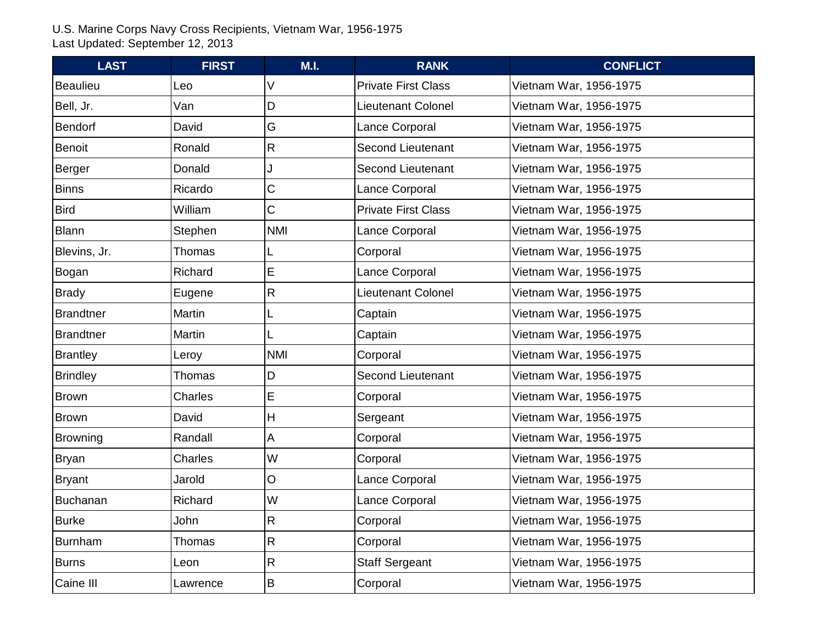| <b>LAST</b>      | <b>FIRST</b>   | M.I.         | <b>RANK</b>                | <b>CONFLICT</b>        |
|------------------|----------------|--------------|----------------------------|------------------------|
| <b>Beaulieu</b>  | Leo            |              | <b>Private First Class</b> | Vietnam War, 1956-1975 |
| Bell, Jr.        | Van            | D            | <b>Lieutenant Colonel</b>  | Vietnam War, 1956-1975 |
| <b>Bendorf</b>   | David          | G            | Lance Corporal             | Vietnam War, 1956-1975 |
| <b>Benoit</b>    | Ronald         | $\mathsf{R}$ | <b>Second Lieutenant</b>   | Vietnam War, 1956-1975 |
| Berger           | Donald         |              | <b>Second Lieutenant</b>   | Vietnam War, 1956-1975 |
| <b>Binns</b>     | Ricardo        | С            | Lance Corporal             | Vietnam War, 1956-1975 |
| <b>Bird</b>      | William        | C            | <b>Private First Class</b> | Vietnam War, 1956-1975 |
| <b>Blann</b>     | Stephen        | <b>NMI</b>   | Lance Corporal             | Vietnam War, 1956-1975 |
| Blevins, Jr.     | Thomas         |              | Corporal                   | Vietnam War, 1956-1975 |
| Bogan            | Richard        | E            | Lance Corporal             | Vietnam War, 1956-1975 |
| <b>Brady</b>     | Eugene         | $\mathsf{R}$ | <b>Lieutenant Colonel</b>  | Vietnam War, 1956-1975 |
| <b>Brandtner</b> | Martin         |              | Captain                    | Vietnam War, 1956-1975 |
| <b>Brandtner</b> | Martin         |              | Captain                    | Vietnam War, 1956-1975 |
| Brantley         | Leroy          | <b>NMI</b>   | Corporal                   | Vietnam War, 1956-1975 |
| <b>Brindley</b>  | Thomas         | D            | <b>Second Lieutenant</b>   | Vietnam War, 1956-1975 |
| <b>Brown</b>     | Charles        | E            | Corporal                   | Vietnam War, 1956-1975 |
| <b>Brown</b>     | David          | Н            | Sergeant                   | Vietnam War, 1956-1975 |
| Browning         | Randall        | A            | Corporal                   | Vietnam War, 1956-1975 |
| Bryan            | <b>Charles</b> | W            | Corporal                   | Vietnam War, 1956-1975 |
| Bryant           | Jarold         | <b>O</b>     | Lance Corporal             | Vietnam War, 1956-1975 |
| <b>Buchanan</b>  | Richard        | W            | Lance Corporal             | Vietnam War, 1956-1975 |
| <b>Burke</b>     | John           | $\mathsf{R}$ | Corporal                   | Vietnam War, 1956-1975 |
| <b>Burnham</b>   | Thomas         | $\mathsf{R}$ | Corporal                   | Vietnam War, 1956-1975 |
| <b>Burns</b>     | Leon           | $\mathsf{R}$ | <b>Staff Sergeant</b>      | Vietnam War, 1956-1975 |
| Caine III        | Lawrence       | B            | Corporal                   | Vietnam War, 1956-1975 |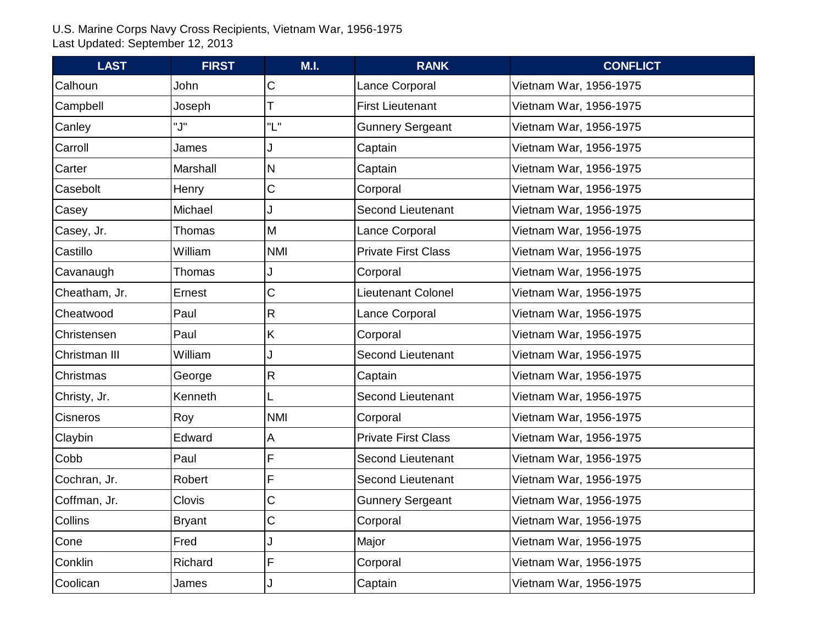| <b>LAST</b>   | <b>FIRST</b>  | M.I.       | <b>RANK</b>                | <b>CONFLICT</b>        |
|---------------|---------------|------------|----------------------------|------------------------|
| Calhoun       | John          | С          | Lance Corporal             | Vietnam War, 1956-1975 |
| Campbell      | Joseph        |            | <b>First Lieutenant</b>    | Vietnam War, 1956-1975 |
| Canley        | "J"           | "L"        | <b>Gunnery Sergeant</b>    | Vietnam War, 1956-1975 |
| Carroll       | James         |            | Captain                    | Vietnam War, 1956-1975 |
| Carter        | Marshall      | N          | Captain                    | Vietnam War, 1956-1975 |
| Casebolt      | Henry         | С          | Corporal                   | Vietnam War, 1956-1975 |
| Casey         | Michael       |            | <b>Second Lieutenant</b>   | Vietnam War, 1956-1975 |
| Casey, Jr.    | Thomas        | M          | Lance Corporal             | Vietnam War, 1956-1975 |
| Castillo      | William       | <b>NMI</b> | <b>Private First Class</b> | Vietnam War, 1956-1975 |
| Cavanaugh     | Thomas        |            | Corporal                   | Vietnam War, 1956-1975 |
| Cheatham, Jr. | Ernest        | C          | <b>Lieutenant Colonel</b>  | Vietnam War, 1956-1975 |
| Cheatwood     | Paul          | R          | Lance Corporal             | Vietnam War, 1956-1975 |
| Christensen   | Paul          | K          | Corporal                   | Vietnam War, 1956-1975 |
| Christman III | William       |            | <b>Second Lieutenant</b>   | Vietnam War, 1956-1975 |
| Christmas     | George        | R          | Captain                    | Vietnam War, 1956-1975 |
| Christy, Jr.  | Kenneth       |            | <b>Second Lieutenant</b>   | Vietnam War, 1956-1975 |
| Cisneros      | Roy           | <b>NMI</b> | Corporal                   | Vietnam War, 1956-1975 |
| Claybin       | Edward        | Α          | <b>Private First Class</b> | Vietnam War, 1956-1975 |
| Cobb          | Paul          | F          | <b>Second Lieutenant</b>   | Vietnam War, 1956-1975 |
| Cochran, Jr.  | Robert        | F          | <b>Second Lieutenant</b>   | Vietnam War, 1956-1975 |
| Coffman, Jr.  | <b>Clovis</b> | C          | <b>Gunnery Sergeant</b>    | Vietnam War, 1956-1975 |
| Collins       | <b>Bryant</b> | C          | Corporal                   | Vietnam War, 1956-1975 |
| Cone          | Fred          |            | Major                      | Vietnam War, 1956-1975 |
| Conklin       | Richard       | F          | Corporal                   | Vietnam War, 1956-1975 |
| Coolican      | James         |            | Captain                    | Vietnam War, 1956-1975 |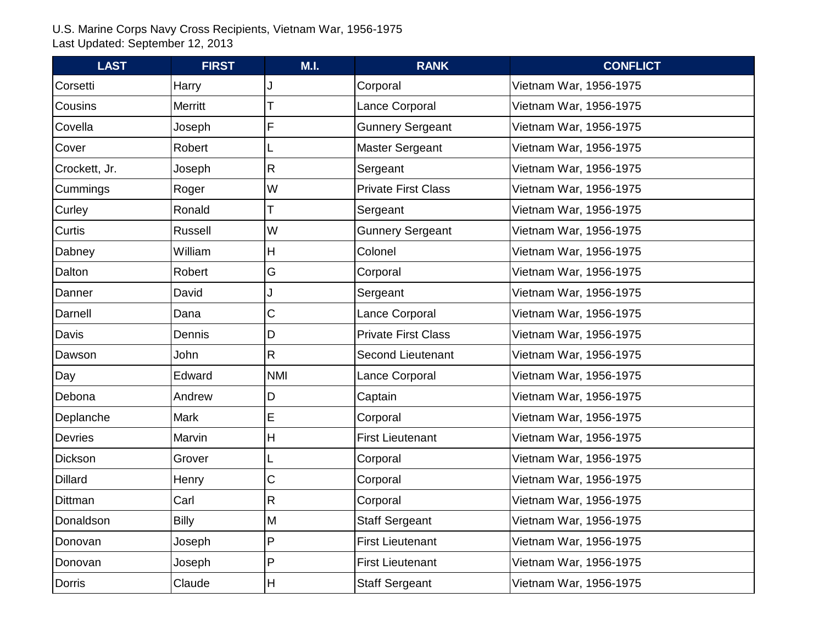| <b>LAST</b>    | <b>FIRST</b>   | M.I.        | <b>RANK</b>                | <b>CONFLICT</b>        |
|----------------|----------------|-------------|----------------------------|------------------------|
| Corsetti       | Harry          |             | Corporal                   | Vietnam War, 1956-1975 |
| Cousins        | Merritt        |             | Lance Corporal             | Vietnam War, 1956-1975 |
| Covella        | Joseph         | F           | <b>Gunnery Sergeant</b>    | Vietnam War, 1956-1975 |
| Cover          | Robert         |             | <b>Master Sergeant</b>     | Vietnam War, 1956-1975 |
| Crockett, Jr.  | Joseph         | R           | Sergeant                   | Vietnam War, 1956-1975 |
| Cummings       | Roger          | W           | <b>Private First Class</b> | Vietnam War, 1956-1975 |
| Curley         | Ronald         |             | Sergeant                   | Vietnam War, 1956-1975 |
| Curtis         | <b>Russell</b> | W           | <b>Gunnery Sergeant</b>    | Vietnam War, 1956-1975 |
| Dabney         | William        | H           | Colonel                    | Vietnam War, 1956-1975 |
| Dalton         | Robert         | G           | Corporal                   | Vietnam War, 1956-1975 |
| Danner         | David          |             | Sergeant                   | Vietnam War, 1956-1975 |
| Darnell        | Dana           | C           | Lance Corporal             | Vietnam War, 1956-1975 |
| Davis          | Dennis         | D           | <b>Private First Class</b> | Vietnam War, 1956-1975 |
| Dawson         | John           | R           | Second Lieutenant          | Vietnam War, 1956-1975 |
| Day            | Edward         | <b>NMI</b>  | Lance Corporal             | Vietnam War, 1956-1975 |
| Debona         | Andrew         | D           | Captain                    | Vietnam War, 1956-1975 |
| Deplanche      | <b>Mark</b>    | E           | Corporal                   | Vietnam War, 1956-1975 |
| <b>Devries</b> | Marvin         | H           | <b>First Lieutenant</b>    | Vietnam War, 1956-1975 |
| Dickson        | Grover         |             | Corporal                   | Vietnam War, 1956-1975 |
| <b>Dillard</b> | Henry          | $\mathsf C$ | Corporal                   | Vietnam War, 1956-1975 |
| Dittman        | Carl           | R           | Corporal                   | Vietnam War, 1956-1975 |
| Donaldson      | <b>Billy</b>   | M           | <b>Staff Sergeant</b>      | Vietnam War, 1956-1975 |
| Donovan        | Joseph         | P           | <b>First Lieutenant</b>    | Vietnam War, 1956-1975 |
| Donovan        | Joseph         | P           | <b>First Lieutenant</b>    | Vietnam War, 1956-1975 |
| Dorris         | Claude         | H           | <b>Staff Sergeant</b>      | Vietnam War, 1956-1975 |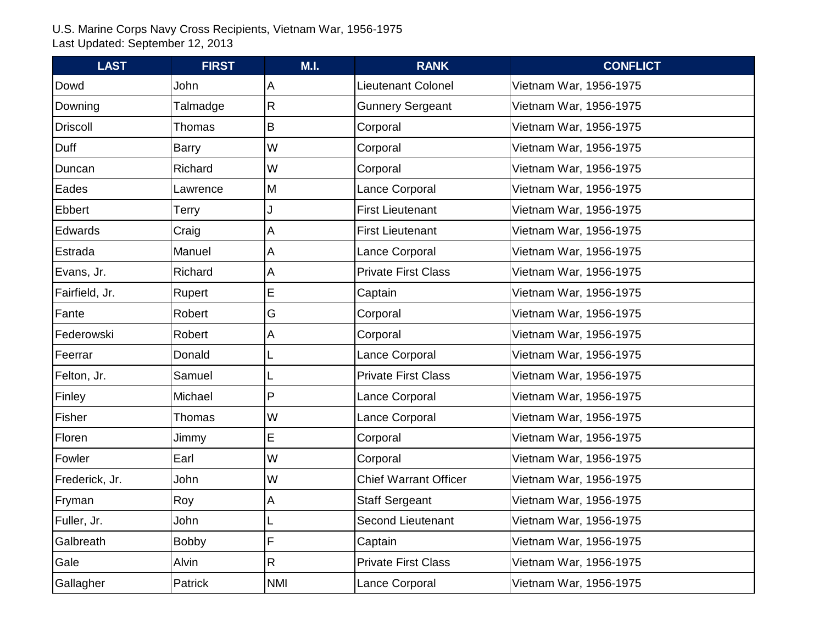| <b>LAST</b>     | <b>FIRST</b> | M.I.         | <b>RANK</b>                  | <b>CONFLICT</b>        |
|-----------------|--------------|--------------|------------------------------|------------------------|
| Dowd            | John         | Α            | Lieutenant Colonel           | Vietnam War, 1956-1975 |
| Downing         | Talmadge     | R            | <b>Gunnery Sergeant</b>      | Vietnam War, 1956-1975 |
| <b>Driscoll</b> | Thomas       | B            | Corporal                     | Vietnam War, 1956-1975 |
| Duff            | Barry        | W            | Corporal                     | Vietnam War, 1956-1975 |
| Duncan          | Richard      | W            | Corporal                     | Vietnam War, 1956-1975 |
| Eades           | Lawrence     | M            | Lance Corporal               | Vietnam War, 1956-1975 |
| Ebbert          | Terry        |              | <b>First Lieutenant</b>      | Vietnam War, 1956-1975 |
| Edwards         | Craig        | А            | <b>First Lieutenant</b>      | Vietnam War, 1956-1975 |
| Estrada         | Manuel       | A            | Lance Corporal               | Vietnam War, 1956-1975 |
| Evans, Jr.      | Richard      | $\mathsf{A}$ | <b>Private First Class</b>   | Vietnam War, 1956-1975 |
| Fairfield, Jr.  | Rupert       | E            | Captain                      | Vietnam War, 1956-1975 |
| Fante           | Robert       | G            | Corporal                     | Vietnam War, 1956-1975 |
| Federowski      | Robert       | А            | Corporal                     | Vietnam War, 1956-1975 |
| Feerrar         | Donald       |              | Lance Corporal               | Vietnam War, 1956-1975 |
| Felton, Jr.     | Samuel       |              | <b>Private First Class</b>   | Vietnam War, 1956-1975 |
| Finley          | Michael      | $\mathsf{P}$ | Lance Corporal               | Vietnam War, 1956-1975 |
| Fisher          | Thomas       | W            | Lance Corporal               | Vietnam War, 1956-1975 |
| Floren          | Jimmy        | E            | Corporal                     | Vietnam War, 1956-1975 |
| Fowler          | Earl         | W            | Corporal                     | Vietnam War, 1956-1975 |
| Frederick, Jr.  | John         | W            | <b>Chief Warrant Officer</b> | Vietnam War, 1956-1975 |
| Fryman          | Roy          | Α            | <b>Staff Sergeant</b>        | Vietnam War, 1956-1975 |
| Fuller, Jr.     | John         |              | <b>Second Lieutenant</b>     | Vietnam War, 1956-1975 |
| Galbreath       | <b>Bobby</b> | F            | Captain                      | Vietnam War, 1956-1975 |
| Gale            | Alvin        | R            | <b>Private First Class</b>   | Vietnam War, 1956-1975 |
| Gallagher       | Patrick      | <b>NMI</b>   | Lance Corporal               | Vietnam War, 1956-1975 |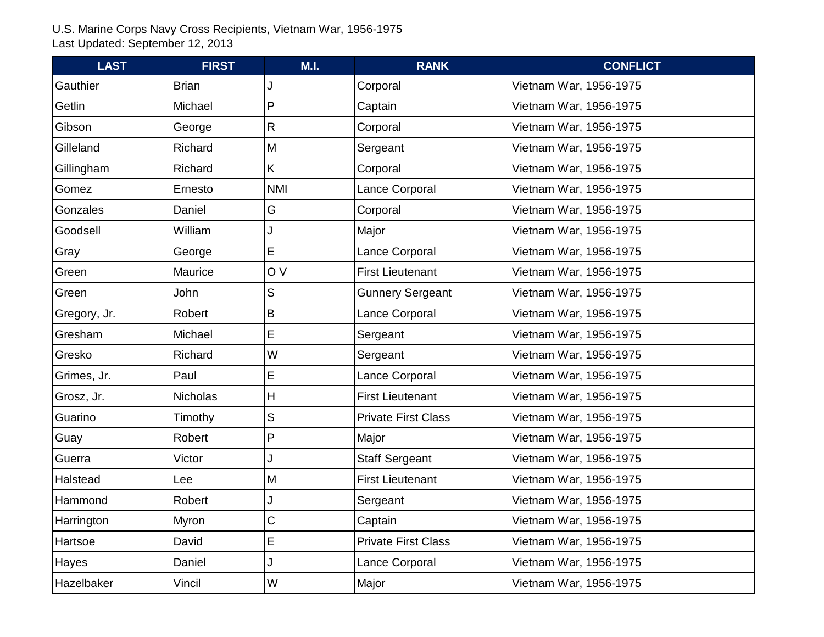| <b>LAST</b>  | <b>FIRST</b>    | M.I.       | <b>RANK</b>                | <b>CONFLICT</b>        |
|--------------|-----------------|------------|----------------------------|------------------------|
| Gauthier     | <b>Brian</b>    |            | Corporal                   | Vietnam War, 1956-1975 |
| Getlin       | Michael         | P          | Captain                    | Vietnam War, 1956-1975 |
| Gibson       | George          | R          | Corporal                   | Vietnam War, 1956-1975 |
| Gilleland    | Richard         | M          | Sergeant                   | Vietnam War, 1956-1975 |
| Gillingham   | Richard         | K          | Corporal                   | Vietnam War, 1956-1975 |
| Gomez        | Ernesto         | <b>NMI</b> | Lance Corporal             | Vietnam War, 1956-1975 |
| Gonzales     | Daniel          | G          | Corporal                   | Vietnam War, 1956-1975 |
| Goodsell     | William         |            | Major                      | Vietnam War, 1956-1975 |
| Gray         | George          | E          | Lance Corporal             | Vietnam War, 1956-1975 |
| Green        | Maurice         | O V        | <b>First Lieutenant</b>    | Vietnam War, 1956-1975 |
| Green        | John            | S          | <b>Gunnery Sergeant</b>    | Vietnam War, 1956-1975 |
| Gregory, Jr. | Robert          | B          | Lance Corporal             | Vietnam War, 1956-1975 |
| Gresham      | Michael         | E          | Sergeant                   | Vietnam War, 1956-1975 |
| Gresko       | Richard         | W          | Sergeant                   | Vietnam War, 1956-1975 |
| Grimes, Jr.  | Paul            | E          | Lance Corporal             | Vietnam War, 1956-1975 |
| Grosz, Jr.   | <b>Nicholas</b> | H          | <b>First Lieutenant</b>    | Vietnam War, 1956-1975 |
| Guarino      | Timothy         | S          | <b>Private First Class</b> | Vietnam War, 1956-1975 |
| Guay         | Robert          | P          | Major                      | Vietnam War, 1956-1975 |
| Guerra       | Victor          |            | <b>Staff Sergeant</b>      | Vietnam War, 1956-1975 |
| Halstead     | Lee             | M          | <b>First Lieutenant</b>    | Vietnam War, 1956-1975 |
| Hammond      | Robert          |            | Sergeant                   | Vietnam War, 1956-1975 |
| Harrington   | <b>Myron</b>    | C          | Captain                    | Vietnam War, 1956-1975 |
| Hartsoe      | David           | E          | <b>Private First Class</b> | Vietnam War, 1956-1975 |
| Hayes        | Daniel          |            | Lance Corporal             | Vietnam War, 1956-1975 |
| Hazelbaker   | Vincil          | W          | Major                      | Vietnam War, 1956-1975 |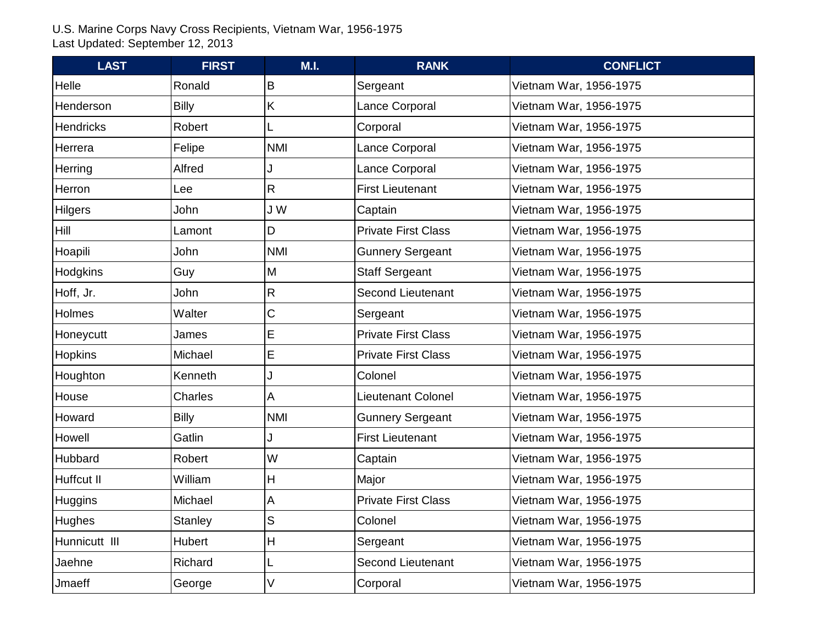| <b>LAST</b>      | <b>FIRST</b>   | M.I.                      | <b>RANK</b>                | <b>CONFLICT</b>        |
|------------------|----------------|---------------------------|----------------------------|------------------------|
| Helle            | Ronald         | B                         | Sergeant                   | Vietnam War, 1956-1975 |
| Henderson        | <b>Billy</b>   | K.                        | Lance Corporal             | Vietnam War, 1956-1975 |
| <b>Hendricks</b> | Robert         |                           | Corporal                   | Vietnam War, 1956-1975 |
| Herrera          | Felipe         | <b>NMI</b>                | Lance Corporal             | Vietnam War, 1956-1975 |
| <b>Herring</b>   | Alfred         |                           | Lance Corporal             | Vietnam War, 1956-1975 |
| Herron           | Lee            | R                         | <b>First Lieutenant</b>    | Vietnam War, 1956-1975 |
| <b>Hilgers</b>   | John           | J W                       | Captain                    | Vietnam War, 1956-1975 |
| Hill             | Lamont         | D                         | <b>Private First Class</b> | Vietnam War, 1956-1975 |
| Hoapili          | John           | <b>NMI</b>                | <b>Gunnery Sergeant</b>    | Vietnam War, 1956-1975 |
| <b>Hodgkins</b>  | Guy            | M                         | <b>Staff Sergeant</b>      | Vietnam War, 1956-1975 |
| Hoff, Jr.        | John           | R                         | <b>Second Lieutenant</b>   | Vietnam War, 1956-1975 |
| Holmes           | Walter         | С                         | Sergeant                   | Vietnam War, 1956-1975 |
| Honeycutt        | James          | E                         | <b>Private First Class</b> | Vietnam War, 1956-1975 |
| Hopkins          | Michael        | E                         | <b>Private First Class</b> | Vietnam War, 1956-1975 |
| Houghton         | Kenneth        |                           | Colonel                    | Vietnam War, 1956-1975 |
| House            | Charles        | A                         | <b>Lieutenant Colonel</b>  | Vietnam War, 1956-1975 |
| Howard           | <b>Billy</b>   | <b>NMI</b>                | <b>Gunnery Sergeant</b>    | Vietnam War, 1956-1975 |
| Howell           | Gatlin         |                           | <b>First Lieutenant</b>    | Vietnam War, 1956-1975 |
| Hubbard          | Robert         | W                         | Captain                    | Vietnam War, 1956-1975 |
| Huffcut II       | William        | $\boldsymbol{\mathsf{H}}$ | Major                      | Vietnam War, 1956-1975 |
| <b>Huggins</b>   | Michael        | A                         | <b>Private First Class</b> | Vietnam War, 1956-1975 |
| <b>Hughes</b>    | <b>Stanley</b> | S                         | Colonel                    | Vietnam War, 1956-1975 |
| Hunnicutt III    | Hubert         | н                         | Sergeant                   | Vietnam War, 1956-1975 |
| Jaehne           | Richard        |                           | <b>Second Lieutenant</b>   | Vietnam War, 1956-1975 |
| Jmaeff           | George         | V                         | Corporal                   | Vietnam War, 1956-1975 |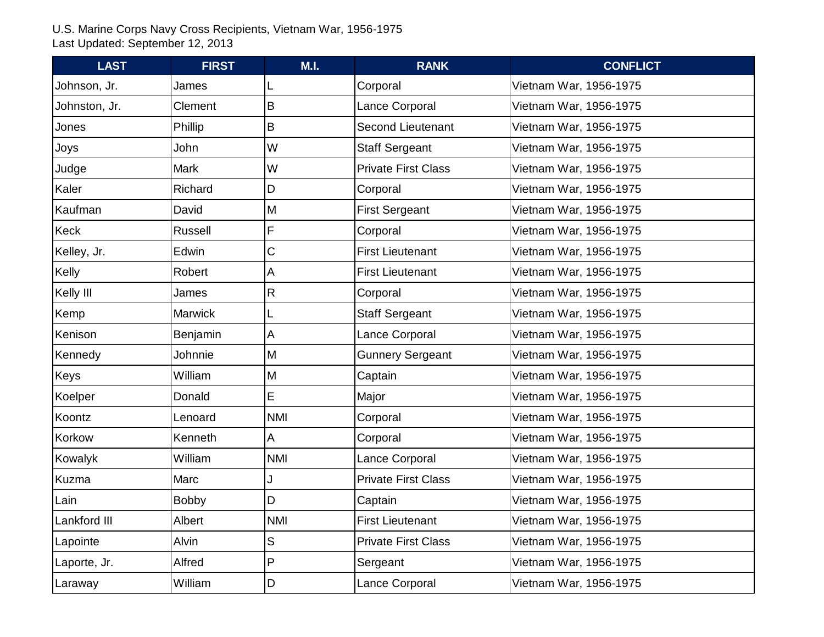| <b>LAST</b>   | <b>FIRST</b>   | M.I.         | <b>RANK</b>                | <b>CONFLICT</b>        |
|---------------|----------------|--------------|----------------------------|------------------------|
| Johnson, Jr.  | James          |              | Corporal                   | Vietnam War, 1956-1975 |
| Johnston, Jr. | Clement        | B            | Lance Corporal             | Vietnam War, 1956-1975 |
| Jones         | Phillip        | B            | <b>Second Lieutenant</b>   | Vietnam War, 1956-1975 |
| Joys          | John           | W            | <b>Staff Sergeant</b>      | Vietnam War, 1956-1975 |
| Judge         | <b>Mark</b>    | W            | <b>Private First Class</b> | Vietnam War, 1956-1975 |
| Kaler         | Richard        | D            | Corporal                   | Vietnam War, 1956-1975 |
| Kaufman       | David          | M            | <b>First Sergeant</b>      | Vietnam War, 1956-1975 |
| Keck          | <b>Russell</b> | F            | Corporal                   | Vietnam War, 1956-1975 |
| Kelley, Jr.   | Edwin          | C            | <b>First Lieutenant</b>    | Vietnam War, 1956-1975 |
| Kelly         | Robert         | $\mathsf{A}$ | <b>First Lieutenant</b>    | Vietnam War, 1956-1975 |
| Kelly III     | James          | R            | Corporal                   | Vietnam War, 1956-1975 |
| Kemp          | <b>Marwick</b> |              | <b>Staff Sergeant</b>      | Vietnam War, 1956-1975 |
| Kenison       | Benjamin       | А            | Lance Corporal             | Vietnam War, 1956-1975 |
| Kennedy       | Johnnie        | M            | <b>Gunnery Sergeant</b>    | Vietnam War, 1956-1975 |
| Keys          | William        | M            | Captain                    | Vietnam War, 1956-1975 |
| Koelper       | Donald         | E            | Major                      | Vietnam War, 1956-1975 |
| Koontz        | Lenoard        | <b>NMI</b>   | Corporal                   | Vietnam War, 1956-1975 |
| Korkow        | Kenneth        | Α            | Corporal                   | Vietnam War, 1956-1975 |
| Kowalyk       | William        | <b>NMI</b>   | Lance Corporal             | Vietnam War, 1956-1975 |
| Kuzma         | Marc           |              | <b>Private First Class</b> | Vietnam War, 1956-1975 |
| Lain          | <b>Bobby</b>   | D            | Captain                    | Vietnam War, 1956-1975 |
| Lankford III  | Albert         | <b>NMI</b>   | <b>First Lieutenant</b>    | Vietnam War, 1956-1975 |
| Lapointe      | Alvin          | S            | <b>Private First Class</b> | Vietnam War, 1956-1975 |
| Laporte, Jr.  | Alfred         | P            | Sergeant                   | Vietnam War, 1956-1975 |
| Laraway       | William        | D            | Lance Corporal             | Vietnam War, 1956-1975 |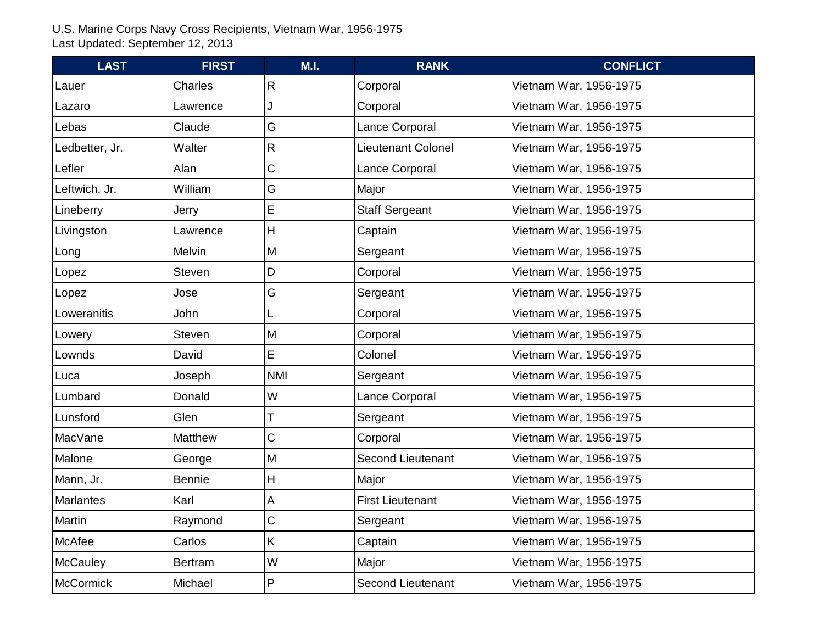| <b>LAST</b>      | <b>FIRST</b>   | M.I.           | <b>RANK</b>              | <b>CONFLICT</b>        |
|------------------|----------------|----------------|--------------------------|------------------------|
| Lauer            | Charles        | R              | Corporal                 | Vietnam War, 1956-1975 |
| Lazaro           | Lawrence       |                | Corporal                 | Vietnam War, 1956-1975 |
| Lebas            | Claude         | G              | Lance Corporal           | Vietnam War, 1956-1975 |
| Ledbetter, Jr.   | Walter         | R              | Lieutenant Colonel       | Vietnam War, 1956-1975 |
| Lefler           | Alan           | C              | Lance Corporal           | Vietnam War, 1956-1975 |
| Leftwich, Jr.    | William        | G              | Major                    | Vietnam War, 1956-1975 |
| Lineberry        | Jerry          | E              | <b>Staff Sergeant</b>    | Vietnam War, 1956-1975 |
| Livingston       | Lawrence       | H              | Captain                  | Vietnam War, 1956-1975 |
| Long             | <b>Melvin</b>  | M              | Sergeant                 | Vietnam War, 1956-1975 |
| Lopez            | <b>Steven</b>  | D              | Corporal                 | Vietnam War, 1956-1975 |
| Lopez            | Jose           | G              | Sergeant                 | Vietnam War, 1956-1975 |
| Loweranitis      | John           |                | Corporal                 | Vietnam War, 1956-1975 |
| Lowery           | <b>Steven</b>  | M              | Corporal                 | Vietnam War, 1956-1975 |
| Lownds           | David          | E              | Colonel                  | Vietnam War, 1956-1975 |
| Luca             | Joseph         | <b>NMI</b>     | Sergeant                 | Vietnam War, 1956-1975 |
| Lumbard          | Donald         | W              | Lance Corporal           | Vietnam War, 1956-1975 |
| Lunsford         | Glen           |                | Sergeant                 | Vietnam War, 1956-1975 |
| <b>MacVane</b>   | Matthew        | C              | Corporal                 | Vietnam War, 1956-1975 |
| Malone           | George         | M              | <b>Second Lieutenant</b> | Vietnam War, 1956-1975 |
| Mann, Jr.        | <b>Bennie</b>  | H              | Major                    | Vietnam War, 1956-1975 |
| <b>Marlantes</b> | Karl           | А              | <b>First Lieutenant</b>  | Vietnam War, 1956-1975 |
| Martin           | Raymond        | C              | Sergeant                 | Vietnam War, 1956-1975 |
| McAfee           | Carlos         | K              | Captain                  | Vietnam War, 1956-1975 |
| <b>McCauley</b>  | <b>Bertram</b> | W              | Major                    | Vietnam War, 1956-1975 |
| <b>McCormick</b> | Michael        | $\overline{P}$ | <b>Second Lieutenant</b> | Vietnam War, 1956-1975 |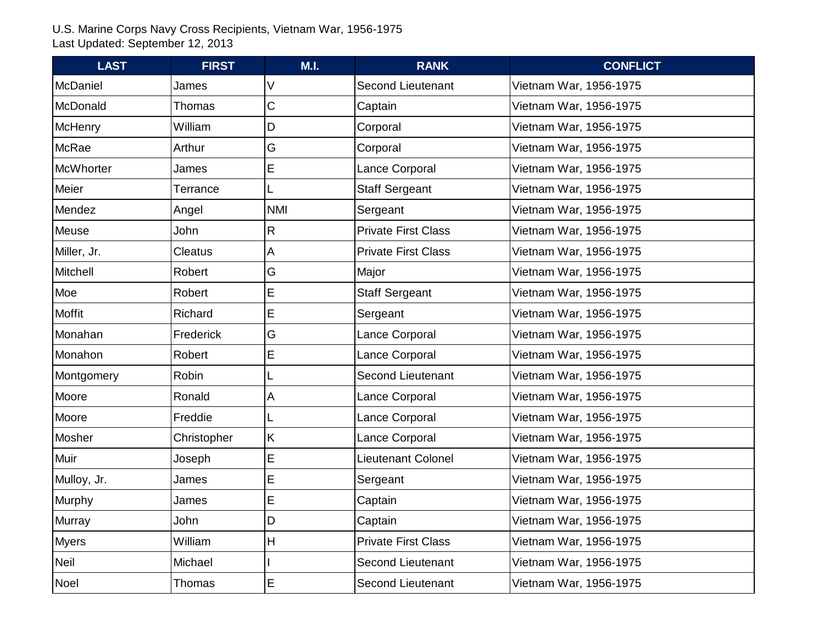| <b>LAST</b>      | <b>FIRST</b>   | M.I.        | <b>RANK</b>                | <b>CONFLICT</b>        |
|------------------|----------------|-------------|----------------------------|------------------------|
| McDaniel         | James          |             | <b>Second Lieutenant</b>   | Vietnam War, 1956-1975 |
| McDonald         | Thomas         | С           | Captain                    | Vietnam War, 1956-1975 |
| <b>McHenry</b>   | William        | D           | Corporal                   | Vietnam War, 1956-1975 |
| McRae            | Arthur         | G           | Corporal                   | Vietnam War, 1956-1975 |
| <b>McWhorter</b> | James          | E           | Lance Corporal             | Vietnam War, 1956-1975 |
| Meier            | Terrance       |             | <b>Staff Sergeant</b>      | Vietnam War, 1956-1975 |
| Mendez           | Angel          | <b>NMI</b>  | Sergeant                   | Vietnam War, 1956-1975 |
| Meuse            | John           | R.          | <b>Private First Class</b> | Vietnam War, 1956-1975 |
| Miller, Jr.      | <b>Cleatus</b> | A           | <b>Private First Class</b> | Vietnam War, 1956-1975 |
| <b>Mitchell</b>  | Robert         | G           | Major                      | Vietnam War, 1956-1975 |
| Moe              | Robert         | E           | <b>Staff Sergeant</b>      | Vietnam War, 1956-1975 |
| <b>Moffit</b>    | Richard        | E           | Sergeant                   | Vietnam War, 1956-1975 |
| Monahan          | Frederick      | G           | Lance Corporal             | Vietnam War, 1956-1975 |
| Monahon          | Robert         | E           | Lance Corporal             | Vietnam War, 1956-1975 |
| Montgomery       | Robin          |             | <b>Second Lieutenant</b>   | Vietnam War, 1956-1975 |
| Moore            | Ronald         | Α           | Lance Corporal             | Vietnam War, 1956-1975 |
| Moore            | Freddie        |             | Lance Corporal             | Vietnam War, 1956-1975 |
| Mosher           | Christopher    | K           | Lance Corporal             | Vietnam War, 1956-1975 |
| Muir             | Joseph         | E           | <b>Lieutenant Colonel</b>  | Vietnam War, 1956-1975 |
| Mulloy, Jr.      | James          | $\mathsf E$ | Sergeant                   | Vietnam War, 1956-1975 |
| Murphy           | James          | E           | Captain                    | Vietnam War, 1956-1975 |
| Murray           | John           | D           | Captain                    | Vietnam War, 1956-1975 |
| <b>Myers</b>     | William        | н           | <b>Private First Class</b> | Vietnam War, 1956-1975 |
| Neil             | Michael        |             | <b>Second Lieutenant</b>   | Vietnam War, 1956-1975 |
| Noel             | Thomas         | Е           | <b>Second Lieutenant</b>   | Vietnam War, 1956-1975 |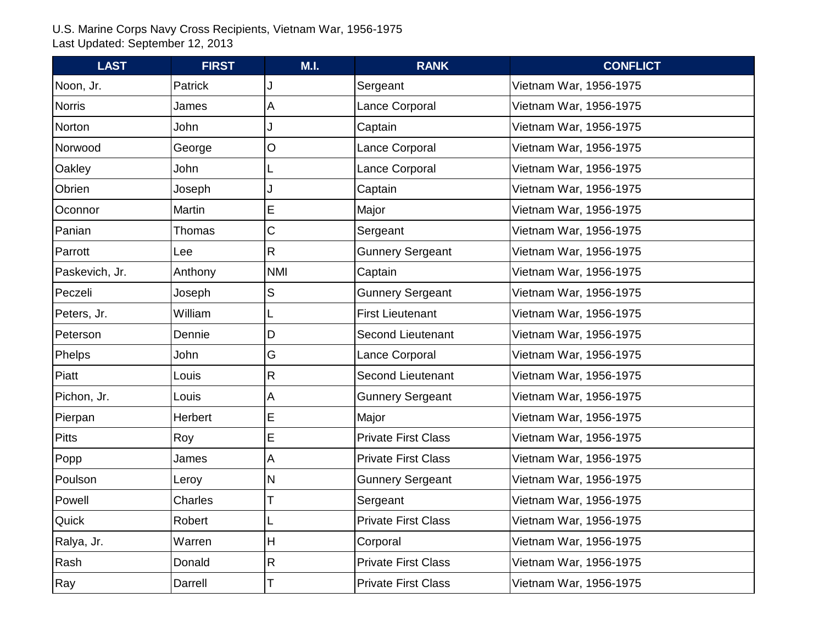| <b>LAST</b>    | <b>FIRST</b>  | M.I.         | <b>RANK</b>                | <b>CONFLICT</b>        |
|----------------|---------------|--------------|----------------------------|------------------------|
| Noon, Jr.      | Patrick       |              | Sergeant                   | Vietnam War, 1956-1975 |
| <b>Norris</b>  | James         | А            | Lance Corporal             | Vietnam War, 1956-1975 |
| Norton         | John          |              | Captain                    | Vietnam War, 1956-1975 |
| Norwood        | George        | O            | Lance Corporal             | Vietnam War, 1956-1975 |
| Oakley         | John          |              | Lance Corporal             | Vietnam War, 1956-1975 |
| Obrien         | Joseph        |              | Captain                    | Vietnam War, 1956-1975 |
| Oconnor        | <b>Martin</b> | E            | Major                      | Vietnam War, 1956-1975 |
| Panian         | Thomas        | C            | Sergeant                   | Vietnam War, 1956-1975 |
| Parrott        | Lee           | R            | <b>Gunnery Sergeant</b>    | Vietnam War, 1956-1975 |
| Paskevich, Jr. | Anthony       | <b>NMI</b>   | Captain                    | Vietnam War, 1956-1975 |
| Peczeli        | Joseph        | S            | <b>Gunnery Sergeant</b>    | Vietnam War, 1956-1975 |
| Peters, Jr.    | William       |              | <b>First Lieutenant</b>    | Vietnam War, 1956-1975 |
| Peterson       | Dennie        | D            | <b>Second Lieutenant</b>   | Vietnam War, 1956-1975 |
| Phelps         | John          | G            | Lance Corporal             | Vietnam War, 1956-1975 |
| Piatt          | Louis         | R            | <b>Second Lieutenant</b>   | Vietnam War, 1956-1975 |
| Pichon, Jr.    | Louis         | Α            | <b>Gunnery Sergeant</b>    | Vietnam War, 1956-1975 |
| Pierpan        | Herbert       | E            | Major                      | Vietnam War, 1956-1975 |
| <b>Pitts</b>   | Roy           | E            | <b>Private First Class</b> | Vietnam War, 1956-1975 |
| Popp           | James         | Α            | <b>Private First Class</b> | Vietnam War, 1956-1975 |
| Poulson        | Leroy         | N            | <b>Gunnery Sergeant</b>    | Vietnam War, 1956-1975 |
| Powell         | Charles       |              | Sergeant                   | Vietnam War, 1956-1975 |
| Quick          | Robert        |              | <b>Private First Class</b> | Vietnam War, 1956-1975 |
| Ralya, Jr.     | Warren        | H            | Corporal                   | Vietnam War, 1956-1975 |
| Rash           | Donald        | $\mathsf{R}$ | <b>Private First Class</b> | Vietnam War, 1956-1975 |
| Ray            | Darrell       | Т            | <b>Private First Class</b> | Vietnam War, 1956-1975 |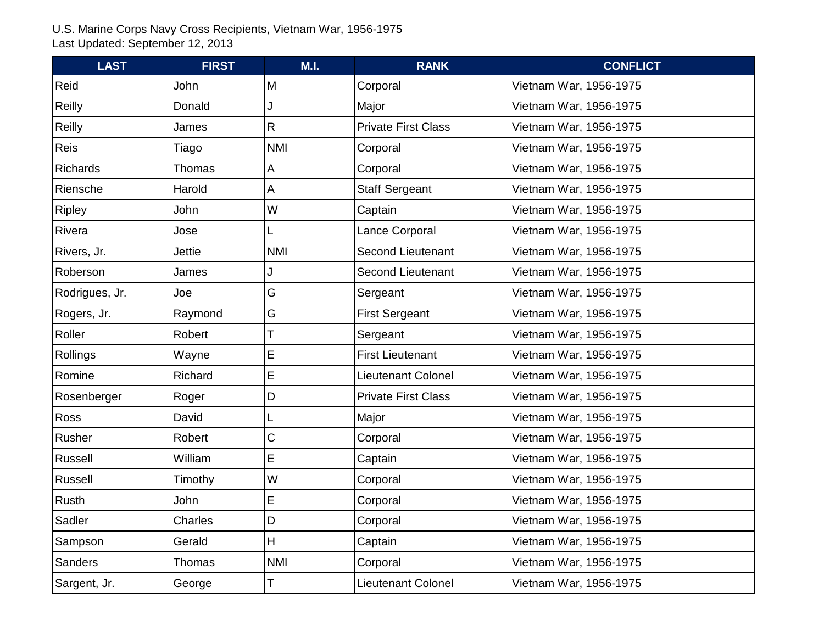| <b>LAST</b>    | <b>FIRST</b> | M.I.       | <b>RANK</b>                | <b>CONFLICT</b>        |
|----------------|--------------|------------|----------------------------|------------------------|
| Reid           | John         | M          | Corporal                   | Vietnam War, 1956-1975 |
| Reilly         | Donald       |            | Major                      | Vietnam War, 1956-1975 |
| <b>Reilly</b>  | James        | R          | <b>Private First Class</b> | Vietnam War, 1956-1975 |
| Reis           | Tiago        | <b>NMI</b> | Corporal                   | Vietnam War, 1956-1975 |
| Richards       | Thomas       | A          | Corporal                   | Vietnam War, 1956-1975 |
| Riensche       | Harold       | A          | <b>Staff Sergeant</b>      | Vietnam War, 1956-1975 |
| Ripley         | John         | W          | Captain                    | Vietnam War, 1956-1975 |
| Rivera         | Jose         |            | Lance Corporal             | Vietnam War, 1956-1975 |
| Rivers, Jr.    | Jettie       | <b>NMI</b> | <b>Second Lieutenant</b>   | Vietnam War, 1956-1975 |
| Roberson       | James        |            | <b>Second Lieutenant</b>   | Vietnam War, 1956-1975 |
| Rodrigues, Jr. | Joe          | G          | Sergeant                   | Vietnam War, 1956-1975 |
| Rogers, Jr.    | Raymond      | G          | <b>First Sergeant</b>      | Vietnam War, 1956-1975 |
| Roller         | Robert       |            | Sergeant                   | Vietnam War, 1956-1975 |
| Rollings       | Wayne        | E          | <b>First Lieutenant</b>    | Vietnam War, 1956-1975 |
| Romine         | Richard      | E          | <b>Lieutenant Colonel</b>  | Vietnam War, 1956-1975 |
| Rosenberger    | Roger        | D          | <b>Private First Class</b> | Vietnam War, 1956-1975 |
| Ross           | David        |            | Major                      | Vietnam War, 1956-1975 |
| Rusher         | Robert       | С          | Corporal                   | Vietnam War, 1956-1975 |
| Russell        | William      | E          | Captain                    | Vietnam War, 1956-1975 |
| Russell        | Timothy      | W          | Corporal                   | Vietnam War, 1956-1975 |
| Rusth          | John         | E          | Corporal                   | Vietnam War, 1956-1975 |
| Sadler         | Charles      | D          | Corporal                   | Vietnam War, 1956-1975 |
| Sampson        | Gerald       | H          | Captain                    | Vietnam War, 1956-1975 |
| Sanders        | Thomas       | <b>NMI</b> | Corporal                   | Vietnam War, 1956-1975 |
| Sargent, Jr.   | George       | Т          | Lieutenant Colonel         | Vietnam War, 1956-1975 |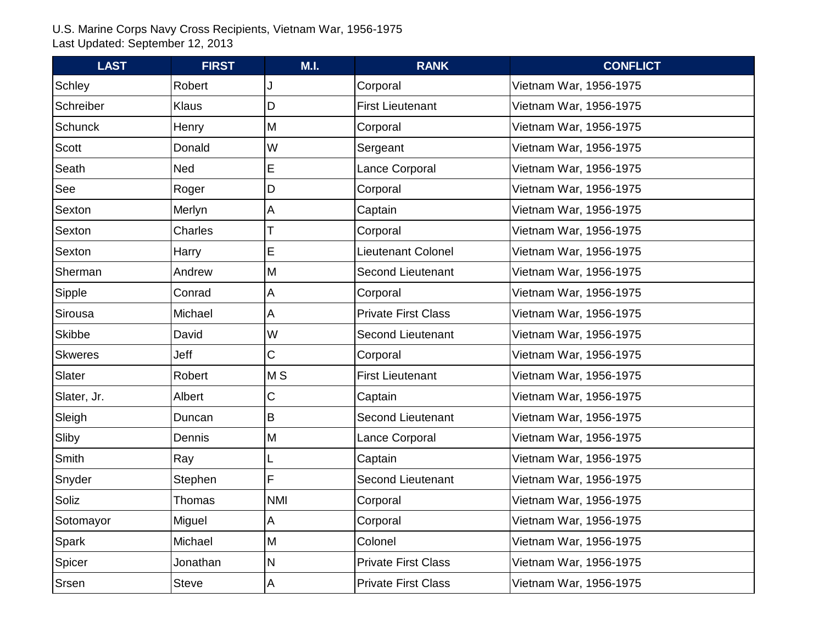| <b>LAST</b>    | <b>FIRST</b> | M.I.         | <b>RANK</b>                | <b>CONFLICT</b>        |
|----------------|--------------|--------------|----------------------------|------------------------|
| Schley         | Robert       |              | Corporal                   | Vietnam War, 1956-1975 |
| Schreiber      | <b>Klaus</b> | D            | <b>First Lieutenant</b>    | Vietnam War, 1956-1975 |
| <b>Schunck</b> | Henry        | M            | Corporal                   | Vietnam War, 1956-1975 |
| Scott          | Donald       | W            | Sergeant                   | Vietnam War, 1956-1975 |
| Seath          | <b>Ned</b>   | E            | Lance Corporal             | Vietnam War, 1956-1975 |
| See            | Roger        | D            | Corporal                   | Vietnam War, 1956-1975 |
| Sexton         | Merlyn       | Α            | Captain                    | Vietnam War, 1956-1975 |
| Sexton         | Charles      |              | Corporal                   | Vietnam War, 1956-1975 |
| Sexton         | Harry        | E            | <b>Lieutenant Colonel</b>  | Vietnam War, 1956-1975 |
| Sherman        | Andrew       | M            | <b>Second Lieutenant</b>   | Vietnam War, 1956-1975 |
| Sipple         | Conrad       | A            | Corporal                   | Vietnam War, 1956-1975 |
| Sirousa        | Michael      | А            | <b>Private First Class</b> | Vietnam War, 1956-1975 |
| Skibbe         | David        | W            | <b>Second Lieutenant</b>   | Vietnam War, 1956-1975 |
| <b>Skweres</b> | Jeff         | C            | Corporal                   | Vietnam War, 1956-1975 |
| Slater         | Robert       | <b>MS</b>    | <b>First Lieutenant</b>    | Vietnam War, 1956-1975 |
| Slater, Jr.    | Albert       | C            | Captain                    | Vietnam War, 1956-1975 |
| Sleigh         | Duncan       | B            | <b>Second Lieutenant</b>   | Vietnam War, 1956-1975 |
| Sliby          | Dennis       | M            | Lance Corporal             | Vietnam War, 1956-1975 |
| Smith          | Ray          |              | Captain                    | Vietnam War, 1956-1975 |
| Snyder         | Stephen      | F            | Second Lieutenant          | Vietnam War, 1956-1975 |
| Soliz          | Thomas       | <b>NMI</b>   | Corporal                   | Vietnam War, 1956-1975 |
| Sotomayor      | Miguel       | А            | Corporal                   | Vietnam War, 1956-1975 |
| Spark          | Michael      | M            | Colonel                    | Vietnam War, 1956-1975 |
| Spicer         | Jonathan     | N            | <b>Private First Class</b> | Vietnam War, 1956-1975 |
| Srsen          | <b>Steve</b> | $\mathsf{A}$ | <b>Private First Class</b> | Vietnam War, 1956-1975 |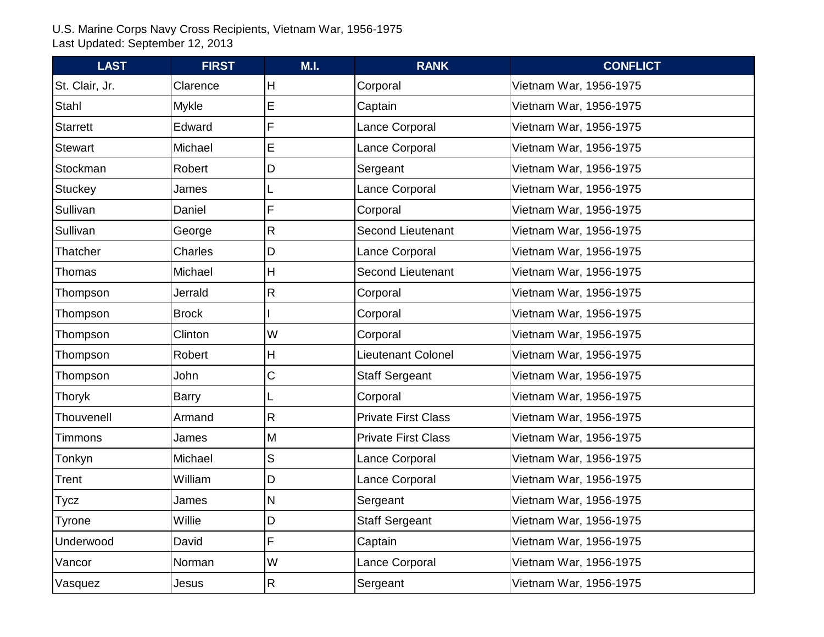| <b>LAST</b>     | <b>FIRST</b> | M.I.         | <b>RANK</b>                | <b>CONFLICT</b>        |
|-----------------|--------------|--------------|----------------------------|------------------------|
| St. Clair, Jr.  | Clarence     | Н            | Corporal                   | Vietnam War, 1956-1975 |
| Stahl           | <b>Mykle</b> | E            | Captain                    | Vietnam War, 1956-1975 |
| <b>Starrett</b> | Edward       | F            | Lance Corporal             | Vietnam War, 1956-1975 |
| Stewart         | Michael      | E            | Lance Corporal             | Vietnam War, 1956-1975 |
| Stockman        | Robert       | D            | Sergeant                   | Vietnam War, 1956-1975 |
| <b>Stuckey</b>  | James        |              | Lance Corporal             | Vietnam War, 1956-1975 |
| Sullivan        | Daniel       | F            | Corporal                   | Vietnam War, 1956-1975 |
| Sullivan        | George       | $\mathsf{R}$ | <b>Second Lieutenant</b>   | Vietnam War, 1956-1975 |
| Thatcher        | Charles      | D            | Lance Corporal             | Vietnam War, 1956-1975 |
| Thomas          | Michael      | Η            | <b>Second Lieutenant</b>   | Vietnam War, 1956-1975 |
| Thompson        | Jerrald      | $\mathsf{R}$ | Corporal                   | Vietnam War, 1956-1975 |
| Thompson        | <b>Brock</b> |              | Corporal                   | Vietnam War, 1956-1975 |
| Thompson        | Clinton      | W            | Corporal                   | Vietnam War, 1956-1975 |
| Thompson        | Robert       | Η            | Lieutenant Colonel         | Vietnam War, 1956-1975 |
| Thompson        | John         | С            | <b>Staff Sergeant</b>      | Vietnam War, 1956-1975 |
| Thoryk          | <b>Barry</b> | L            | Corporal                   | Vietnam War, 1956-1975 |
| Thouvenell      | Armand       | $\mathsf{R}$ | <b>Private First Class</b> | Vietnam War, 1956-1975 |
| <b>Timmons</b>  | James        | M            | <b>Private First Class</b> | Vietnam War, 1956-1975 |
| Tonkyn          | Michael      | S            | Lance Corporal             | Vietnam War, 1956-1975 |
| Trent           | William      | D            | Lance Corporal             | Vietnam War, 1956-1975 |
| <b>Tycz</b>     | James        | N            | Sergeant                   | Vietnam War, 1956-1975 |
| Tyrone          | Willie       | D            | <b>Staff Sergeant</b>      | Vietnam War, 1956-1975 |
| Underwood       | David        | F            | Captain                    | Vietnam War, 1956-1975 |
| Vancor          | Norman       | W            | Lance Corporal             | Vietnam War, 1956-1975 |
| Vasquez         | Jesus        | $\mathsf{R}$ | Sergeant                   | Vietnam War, 1956-1975 |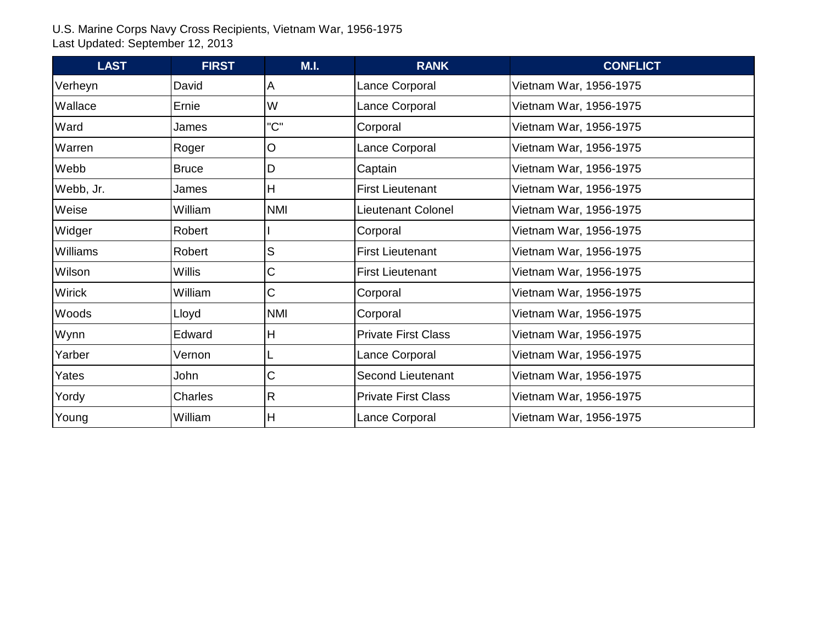| <b>LAST</b>     | <b>FIRST</b> | M.I.       | <b>RANK</b>                | <b>CONFLICT</b>        |
|-----------------|--------------|------------|----------------------------|------------------------|
| Verheyn         | David        | A          | Lance Corporal             | Vietnam War, 1956-1975 |
| Wallace         | Ernie        | W          | Lance Corporal             | Vietnam War, 1956-1975 |
| Ward            | James        | "C"        | Corporal                   | Vietnam War, 1956-1975 |
| Warren          | Roger        | $\circ$    | Lance Corporal             | Vietnam War, 1956-1975 |
| Webb            | <b>Bruce</b> | D          | Captain                    | Vietnam War, 1956-1975 |
| Webb, Jr.       | James        | H          | <b>First Lieutenant</b>    | Vietnam War, 1956-1975 |
| Weise           | William      | <b>NMI</b> | Lieutenant Colonel         | Vietnam War, 1956-1975 |
| Widger          | Robert       |            | Corporal                   | Vietnam War, 1956-1975 |
| <b>Williams</b> | Robert       | S          | <b>First Lieutenant</b>    | Vietnam War, 1956-1975 |
| Wilson          | Willis       | С          | <b>First Lieutenant</b>    | Vietnam War, 1956-1975 |
| Wirick          | William      | С          | Corporal                   | Vietnam War, 1956-1975 |
| Woods           | Lloyd        | <b>NMI</b> | Corporal                   | Vietnam War, 1956-1975 |
| Wynn            | Edward       | H          | <b>Private First Class</b> | Vietnam War, 1956-1975 |
| Yarber          | Vernon       |            | Lance Corporal             | Vietnam War, 1956-1975 |
| Yates           | John         | C          | <b>Second Lieutenant</b>   | Vietnam War, 1956-1975 |
| Yordy           | Charles      | R          | <b>Private First Class</b> | Vietnam War, 1956-1975 |
| Young           | William      | lн         | Lance Corporal             | Vietnam War, 1956-1975 |